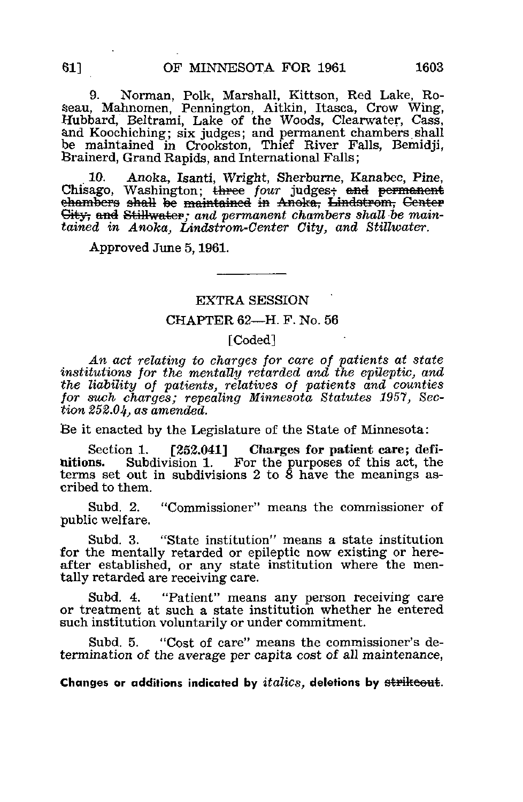9. Norman, Polk, Marshall, Kittson, Red Lake, Roseau, Mahnomen, Pennington, Aitkin, Itasca, Crow Wing, Hubbard, Beltrami, Lake of the Woods, Clearwater, Cass, and Koochiching; six judges; and permanent chambers shall be maintained in Crookston, Thief River Falls, Bemidii. Brainerd, Grand Rapids, and International Falls;

10. Anoka, Isanti, Wright, Sherburne, Kanabec, Pine, Chisago, Washington; three four judges, and permanent ehambers shall be maintained in Anoka, Lindstrom, Genter City, and Stillwater; and permanent chambers shall be maintained in Anoka, Lindstrom-Center City, and Stillwater.

Approved June 5,1961.

#### EXTRA SESSION '

# CHAPTER 62—H. F. No. 56

### [Coded]

An act relating to charges for care of patients at state institutions for the mentally retarded and the epileptic, and the liability of patients, relatives of patients and counties for such charges; repealing Minnesota Statutes 1957, Section 252.04, as amended.

Be it enacted by the Legislature of the State of Minnesota:

Section 1. [252.041] Charges for patient care; defi-<br>nitions. Subdivision 1. For the purposes of this act, the Subdivision 1. For the purposes of this act, the terms set out in subdivisions 2 to  $\delta$  have the meanings ascribed to them.

Subd. 2. "Commissioner" means the commissioner of public welfare.

Subd. 3. "State institution" means a state institution for the mentally retarded or epileptic now existing or hereafter established, or any state institution where the mentally retarded are receiving care.

Subd. 4. "Patient" means any person receiving care or treatment at such a state institution whether he entered such institution voluntarily or under commitment.

Subd. 5. "Cost of care" means the commissioner's determination of the average per capita cost of all maintenance,

Changes or additions indicated by *italics*, deletions by strikeout.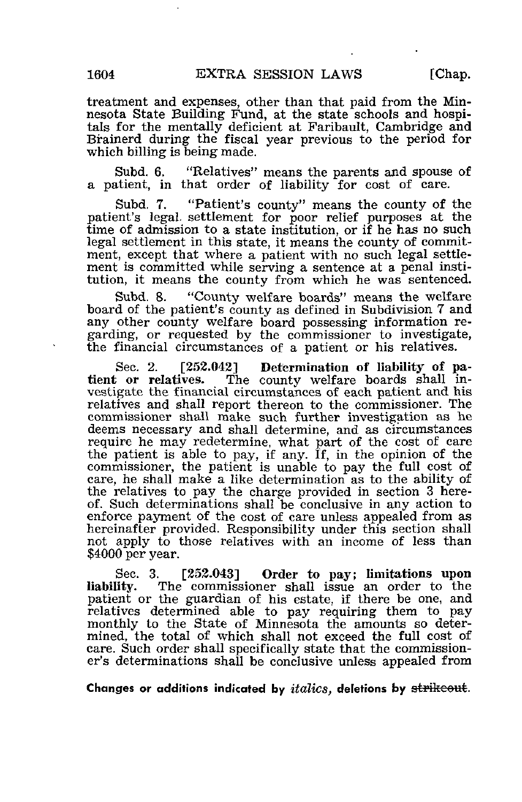treatment and expenses, other than that paid from the Minnesota State Building Fund, at the state schools and hospitals for the mentally deficient at Faribault, Cambridge and Brainerd during the fiscal year previous to the period for which billing is being made.

Subd. 6. "Relatives" means the parents and spouse of a patient, in that order of liability for cost of care.

Subd. 7. "Patient's county" means the county of the patient's legal, settlement for poor relief purposes at the time of admission to a state institution, or if he has no such legal settlement in this state, it means the county of commitment, except that where a patient with no such legal settlement is committed while serving a sentence at a penal institution, it means the county from which he was sentenced.

Subd. 8. "County welfare boards" means the welfare board of the patient's county as defined in Subdivision 7 and any other county welfare board possessing information regarding, or requested by the commissioner to investigate, the financial circumstances of a patient or his relatives.

Sec. 2. [252.042] Determination of liability of patient or relatives. The county welfare boards shall in-The county welfare boards shall investigate the financial circumstances of each patient and his relatives and shall report thereon to the commissioner. The commissioner shall make such further investigation as he deems necessary and shall determine, and as circumstances require he may redetermine, what part of the cost of care the patient is able to pay, if any. If, in the opinion of the commissioner, the patient is unable to pay the full cost of care, he shall make a like determination as to the ability of the relatives to pay the charge provided in section 3 hereof. Such determinations shall be conclusive in any action to enforce payment of the cost of care unless appealed from as hereinafter provided. Responsibility under this section shall not apply to those relatives with an income of less than \$4000 per year.

Sec. 3. [252.043] Order to pay; limitations upon liability. The commissioner shall issue an order to the The commissioner shall issue an order to the patient or the guardian of his estate, if there be one, and relatives determined able to pay requiring them to pay monthly to the State of Minnesota the amounts so determined, the total of which shall not exceed the full cost of care. Such order shall specifically state that the commissioner's determinations shall be conclusive unless appealed from

Changes or additions indicated by  $italics$ , deletions by  $\frac{strikcost}{}$ .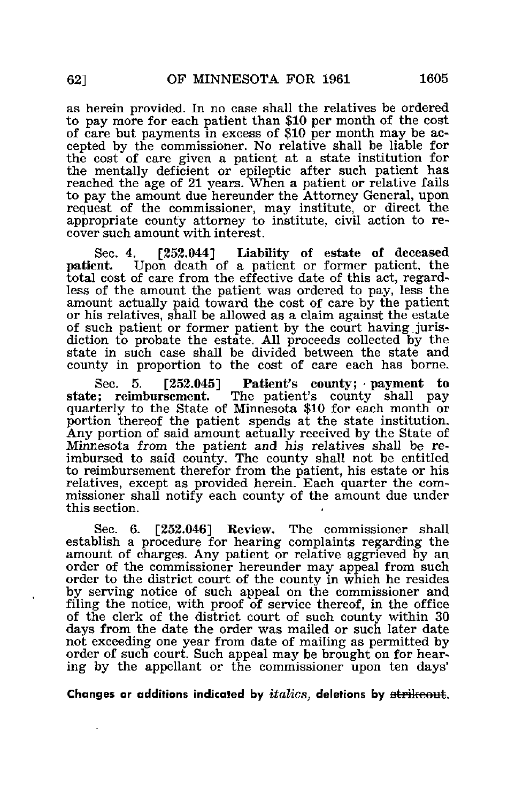as herein provided. In no case shall the relatives be ordered to pay more for each patient than \$10 per month of the cost of care but payments in excess of \$10 per month may be accepted by the commissioner. No relative shall be liable for the cost of care given a patient at a state institution for the mentally deficient or epileptic after such patient has reached the age of 21 years. When a patient or relative fails to pay the amount due hereunder the Attorney General, upon request of the commissioner, may institute, or direct the appropriate county attorney to institute, civil action to recover such amount with interest.

Sec. 4. [252.044] Liability of estate of deceased patient. Upon death of a patient or former patient. the Upon death of a patient or former patient, the total cost of care from the effective date of this act, regardless of the amount the patient was ordered to pay, less the amount actually paid toward the cost of care by the patient or his relatives, shall be allowed as a claim against the estate of such patient or former patient by the court having.jurisdiction to probate the estate. All proceeds collected by the state in such case shall be divided between the state and county in proportion to the cost of care each has borne.

Sec. 5.  $[252.045]$  Patient's county; payment to state: reimbursement. The patient's county shall pay The patient's county shall pay quarterly to the State of Minnesota \$10 for each month or portion thereof the patient spends at the state institution. Any portion of said amount actually received by the State of Minnesota from the patient and his relatives shall be reimbursed to said county. The county shall not be entitled to reimbursement therefor from the patient, his estate or his relatives, except as provided herein. Each quarter the commissioner shall notify each county of the amount due under this section.

Sec. 6. [252.046] Review. The commissioner shall establish a procedure for hearing complaints regarding the amount of charges. Any patient or relative aggrieved by an order of the commissioner hereunder may appeal from such order to the district court of the county in which he resides by serving notice of such appeal on the commissioner and filing the notice, with proof of service thereof, in the office of the clerk of the district court of such county within 30 days from the date the order was mailed or such later date not exceeding one year from date of mailing as permitted by order of such court. Such appeal may be brought on for hearing by the appellant or the commissioner upon ten days'

Changes or additions indicated by *italics*, deletions by strikeout.